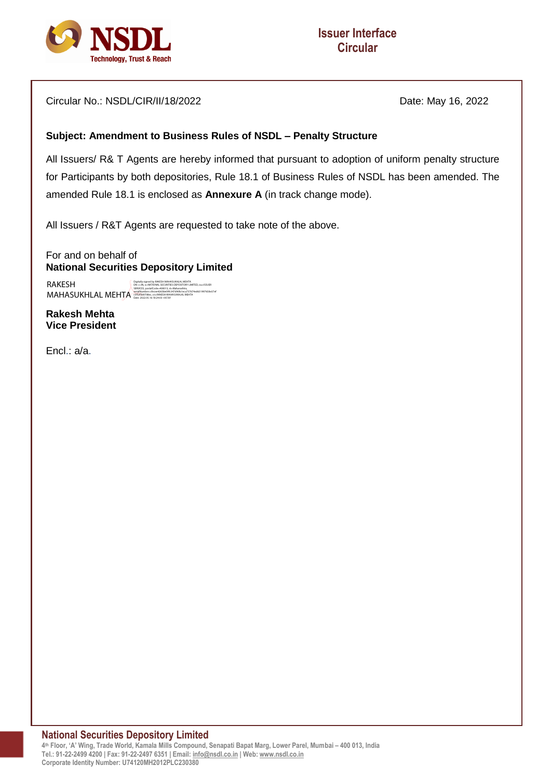

Circular No.: NSDL/CIR/II/18/2022 Date: May 16, 2022

## **Subject: Amendment to Business Rules of NSDL – Penalty Structure**

All Issuers/ R& T Agents are hereby informed that pursuant to adoption of uniform penalty structure for Participants by both depositories, Rule 18.1 of Business Rules of NSDL has been amended. The amended Rule 18.1 is enclosed as **Annexure A** (in track change mode).

All Issuers / R&T Agents are requested to take note of the above.

For and on behalf of **National Securities Depository Limited** 

RAKESH MAHASUKHLAL MEHTA DN: c=IN, o=NATIONAL SECURITIES DEPOSITORY LIMITED, ou=ISSUER SERVICES, postalCode=400013, st=Maharashtra, serialNumber=cfecee42658e09fc347d90fa1eca737674ed631997658e37ef c5f52f369708ec, cn=RAKESH MAHASUKHLAL MEHTA Date: 2022.05.16 18:24:03 +05'30'Digitally signed by RAKESH MAHASUKHLAL MEHTA

**Rakesh Mehta Vice President**

Encl.: a/a.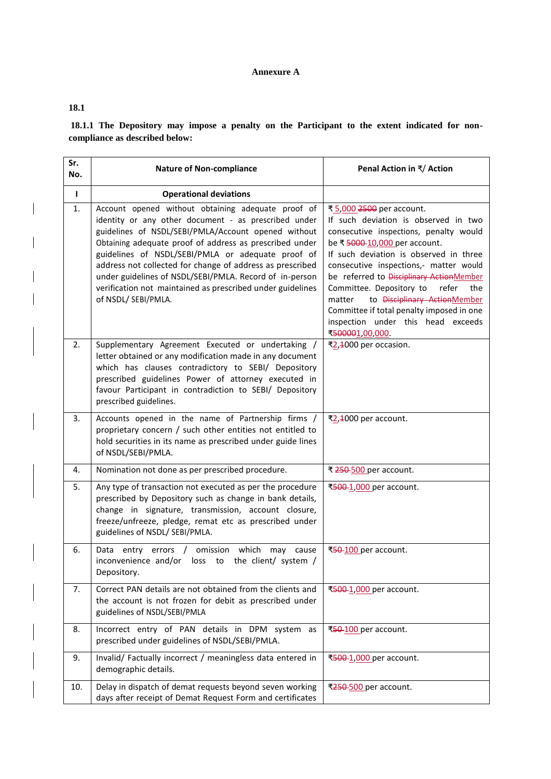## **Annexure A**

## **18.1**

**18.1.1 The Depository may impose a penalty on the Participant to the extent indicated for noncompliance as described below:**

| Sr.<br>No.   | <b>Nature of Non-compliance</b>                                                                                                                                                                                                                                                                                                                                                                                                                                                                | Penal Action in ₹/ Action                                                                                                                                                                                                                                                                                                                                                                                                                                              |
|--------------|------------------------------------------------------------------------------------------------------------------------------------------------------------------------------------------------------------------------------------------------------------------------------------------------------------------------------------------------------------------------------------------------------------------------------------------------------------------------------------------------|------------------------------------------------------------------------------------------------------------------------------------------------------------------------------------------------------------------------------------------------------------------------------------------------------------------------------------------------------------------------------------------------------------------------------------------------------------------------|
| $\mathbf{I}$ | <b>Operational deviations</b>                                                                                                                                                                                                                                                                                                                                                                                                                                                                  |                                                                                                                                                                                                                                                                                                                                                                                                                                                                        |
| 1.           | Account opened without obtaining adequate proof of<br>identity or any other document - as prescribed under<br>guidelines of NSDL/SEBI/PMLA/Account opened without<br>Obtaining adequate proof of address as prescribed under<br>guidelines of NSDL/SEBI/PMLA or adequate proof of<br>address not collected for change of address as prescribed<br>under guidelines of NSDL/SEBI/PMLA. Record of in-person<br>verification not maintained as prescribed under guidelines<br>of NSDL/ SEBI/PMLA. | ₹5,000 2500 per account.<br>If such deviation is observed in two<br>consecutive inspections, penalty would<br>be ₹ 5000-10,000 per account.<br>If such deviation is observed in three<br>consecutive inspections,- matter would<br>be referred to Disciplinary ActionMember<br>Committee. Depository to<br>refer<br>the<br>to Disciplinary ActionMember<br>matter<br>Committee if total penalty imposed in one<br>inspection under this head exceeds<br>₹500001,00,000 |
| 2.           | Supplementary Agreement Executed or undertaking /<br>letter obtained or any modification made in any document<br>which has clauses contradictory to SEBI/ Depository<br>prescribed guidelines Power of attorney executed in<br>favour Participant in contradiction to SEBI/ Depository<br>prescribed guidelines.                                                                                                                                                                               | ₹2,4000 per occasion.                                                                                                                                                                                                                                                                                                                                                                                                                                                  |
| 3.           | Accounts opened in the name of Partnership firms /<br>proprietary concern / such other entities not entitled to<br>hold securities in its name as prescribed under guide lines<br>of NSDL/SEBI/PMLA.                                                                                                                                                                                                                                                                                           | ₹2,4000 per account.                                                                                                                                                                                                                                                                                                                                                                                                                                                   |
| 4.           | Nomination not done as per prescribed procedure.                                                                                                                                                                                                                                                                                                                                                                                                                                               | ₹ 250-500 per account.                                                                                                                                                                                                                                                                                                                                                                                                                                                 |
| 5.           | Any type of transaction not executed as per the procedure<br>prescribed by Depository such as change in bank details,<br>change in signature, transmission, account closure,<br>freeze/unfreeze, pledge, remat etc as prescribed under<br>guidelines of NSDL/ SEBI/PMLA.                                                                                                                                                                                                                       | ₹500-1,000 per account.                                                                                                                                                                                                                                                                                                                                                                                                                                                |
| 6.           | entry errors / omission which may cause<br>Data<br>inconvenience and/or loss to the client/ system /<br>Depository.                                                                                                                                                                                                                                                                                                                                                                            | ₹50-100 per account.                                                                                                                                                                                                                                                                                                                                                                                                                                                   |
| 7.           | Correct PAN details are not obtained from the clients and<br>the account is not frozen for debit as prescribed under<br>guidelines of NSDL/SEBI/PMLA                                                                                                                                                                                                                                                                                                                                           | ₹500-1,000 per account.                                                                                                                                                                                                                                                                                                                                                                                                                                                |
| 8.           | Incorrect entry of PAN details in DPM system as<br>prescribed under guidelines of NSDL/SEBI/PMLA.                                                                                                                                                                                                                                                                                                                                                                                              | ₹50-100 per account.                                                                                                                                                                                                                                                                                                                                                                                                                                                   |
| 9.           | Invalid/Factually incorrect / meaningless data entered in<br>demographic details.                                                                                                                                                                                                                                                                                                                                                                                                              | ₹500-1,000 per account.                                                                                                                                                                                                                                                                                                                                                                                                                                                |
| 10.          | Delay in dispatch of demat requests beyond seven working<br>days after receipt of Demat Request Form and certificates                                                                                                                                                                                                                                                                                                                                                                          | ₹250-500 per account.                                                                                                                                                                                                                                                                                                                                                                                                                                                  |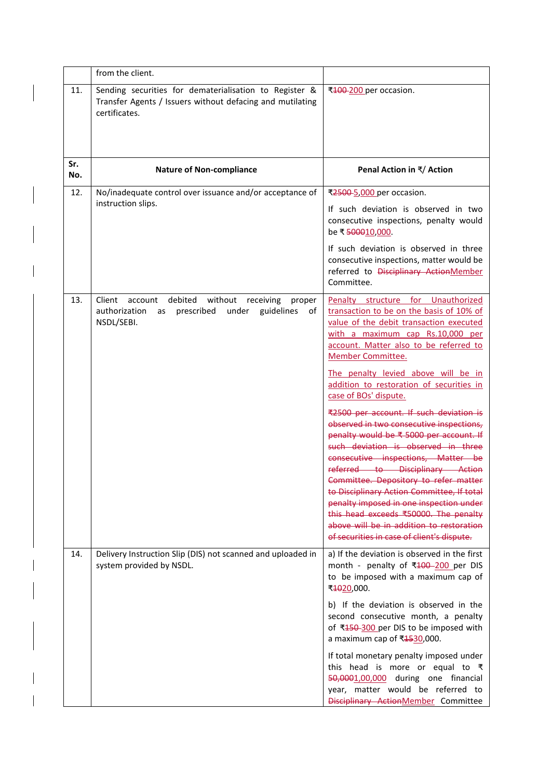|            | from the client.                                                                                                                            |                                                                                                                                                                                                                                                                                                                                                                                                                                                                                                                                                                                                                                                                                                                                                                                                                                                                    |
|------------|---------------------------------------------------------------------------------------------------------------------------------------------|--------------------------------------------------------------------------------------------------------------------------------------------------------------------------------------------------------------------------------------------------------------------------------------------------------------------------------------------------------------------------------------------------------------------------------------------------------------------------------------------------------------------------------------------------------------------------------------------------------------------------------------------------------------------------------------------------------------------------------------------------------------------------------------------------------------------------------------------------------------------|
| 11.        | Sending securities for dematerialisation to Register &<br>Transfer Agents / Issuers without defacing and mutilating<br>certificates.        | ₹100-200 per occasion.                                                                                                                                                                                                                                                                                                                                                                                                                                                                                                                                                                                                                                                                                                                                                                                                                                             |
| Sr.<br>No. | <b>Nature of Non-compliance</b>                                                                                                             | Penal Action in ₹/ Action                                                                                                                                                                                                                                                                                                                                                                                                                                                                                                                                                                                                                                                                                                                                                                                                                                          |
| 12.        | No/inadequate control over issuance and/or acceptance of<br>instruction slips.                                                              | ₹2500-5,000 per occasion.<br>If such deviation is observed in two<br>consecutive inspections, penalty would<br>be ₹ 500010,000.<br>If such deviation is observed in three<br>consecutive inspections, matter would be<br>referred to Disciplinary ActionMember<br>Committee.                                                                                                                                                                                                                                                                                                                                                                                                                                                                                                                                                                                       |
| 13.        | account debited<br>Client<br>without<br>receiving<br>proper<br>authorization<br>prescribed<br>guidelines<br>under<br>of<br>as<br>NSDL/SEBI. | Penalty structure for<br>Unauthorized<br>transaction to be on the basis of 10% of<br>value of the debit transaction executed<br>with a maximum cap Rs.10,000 per<br>account. Matter also to be referred to<br>Member Committee.<br>The penalty levied above will be in<br>addition to restoration of securities in<br>case of BOs' dispute.<br>₹2500 per account. If such deviation is<br>observed in two consecutive inspections,<br>penalty would be ₹ 5000 per account. If<br>such deviation is observed in three<br>consecutive inspections, Matter be<br>referred to Disciplinary Action<br>Committee. Depository to refer matter<br>to Disciplinary Action Committee, If total<br>penalty imposed in one inspection under<br>this head exceeds ₹50000. The penalty<br>above will be in addition to restoration<br>of securities in case of client's dispute. |
| 14.        | Delivery Instruction Slip (DIS) not scanned and uploaded in<br>system provided by NSDL.                                                     | a) If the deviation is observed in the first<br>month - penalty of ₹100-200 per DIS<br>to be imposed with a maximum cap of<br>₹4020,000.<br>b) If the deviation is observed in the<br>second consecutive month, a penalty<br>of ₹450-300 per DIS to be imposed with<br>a maximum cap of ₹4530,000.<br>If total monetary penalty imposed under<br>this head is more or equal to $\bar{\tau}$<br>50,0001,00,000 during one financial<br>year, matter would be referred to<br>Disciplinary ActionMember Committee                                                                                                                                                                                                                                                                                                                                                     |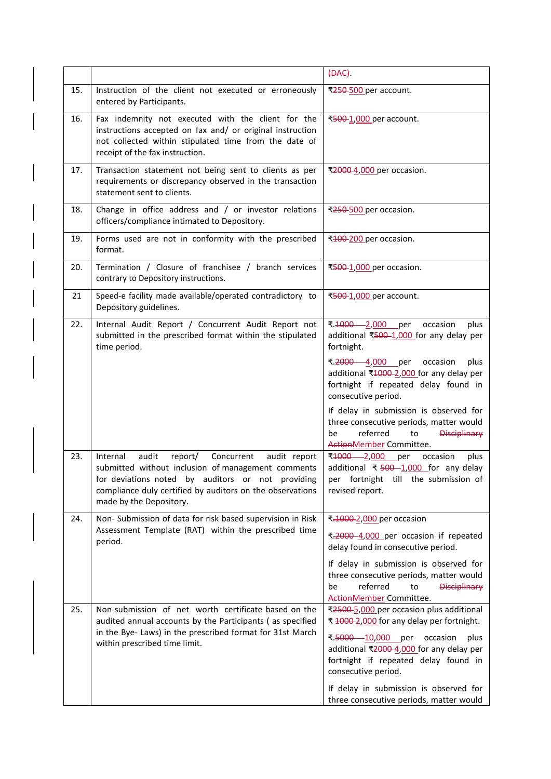|     |                                                                                                                                                                                                                                                               | (DAC).                                                                                                                                                                                                                                                                                                                                                                                                          |
|-----|---------------------------------------------------------------------------------------------------------------------------------------------------------------------------------------------------------------------------------------------------------------|-----------------------------------------------------------------------------------------------------------------------------------------------------------------------------------------------------------------------------------------------------------------------------------------------------------------------------------------------------------------------------------------------------------------|
| 15. | Instruction of the client not executed or erroneously<br>entered by Participants.                                                                                                                                                                             | ₹250-500 per account.                                                                                                                                                                                                                                                                                                                                                                                           |
| 16. | Fax indemnity not executed with the client for the<br>instructions accepted on fax and/ or original instruction<br>not collected within stipulated time from the date of<br>receipt of the fax instruction.                                                   | ₹500-1,000 per account.                                                                                                                                                                                                                                                                                                                                                                                         |
| 17. | Transaction statement not being sent to clients as per<br>requirements or discrepancy observed in the transaction<br>statement sent to clients.                                                                                                               | ₹2000-4,000 per occasion.                                                                                                                                                                                                                                                                                                                                                                                       |
| 18. | Change in office address and / or investor relations<br>officers/compliance intimated to Depository.                                                                                                                                                          | ₹250-500 per occasion.                                                                                                                                                                                                                                                                                                                                                                                          |
| 19. | Forms used are not in conformity with the prescribed<br>format.                                                                                                                                                                                               | ₹100-200 per occasion.                                                                                                                                                                                                                                                                                                                                                                                          |
| 20. | Termination / Closure of franchisee / branch services<br>contrary to Depository instructions.                                                                                                                                                                 | ₹500-1,000 per occasion.                                                                                                                                                                                                                                                                                                                                                                                        |
| 21  | Speed-e facility made available/operated contradictory to<br>Depository guidelines.                                                                                                                                                                           | ₹500-1,000 per account.                                                                                                                                                                                                                                                                                                                                                                                         |
| 22. | Internal Audit Report / Concurrent Audit Report not<br>submitted in the prescribed format within the stipulated<br>time period.                                                                                                                               | ₹. <del>1000</del> - 2,000 per<br>occasion<br>plus<br>additional ₹500-1,000 for any delay per<br>fortnight.<br>₹. <del>2000</del> —4,000 per<br>occasion<br>plus<br>additional ₹1000-2,000 for any delay per<br>fortnight if repeated delay found in<br>consecutive period.<br>If delay in submission is observed for<br>three consecutive periods, matter would<br>referred<br>be<br>to<br><b>Disciplinary</b> |
| 23. | audit<br>Internal<br>report/<br>Concurrent<br>audit report<br>submitted without inclusion of management comments<br>for deviations noted by auditors or not providing<br>compliance duly certified by auditors on the observations<br>made by the Depository. | ActionMember Committee.<br>₹ <del>1000</del> 2,000 per<br>occasion<br>plus<br>additional ₹ $500 - 1,000$ for any delay<br>per fortnight till the submission of<br>revised report.                                                                                                                                                                                                                               |
| 24. | Non- Submission of data for risk based supervision in Risk<br>Assessment Template (RAT) within the prescribed time<br>period.                                                                                                                                 | ₹.1000-2,000 per occasion<br>₹.2000-4,000 per occasion if repeated<br>delay found in consecutive period.<br>If delay in submission is observed for<br>three consecutive periods, matter would<br>referred<br><b>Disciplinary</b><br>be<br>to<br>ActionMember Committee.                                                                                                                                         |
| 25. | Non-submission of net worth certificate based on the<br>audited annual accounts by the Participants (as specified<br>in the Bye- Laws) in the prescribed format for 31st March<br>within prescribed time limit.                                               | ₹2500-5,000 per occasion plus additional<br>₹ 1000-2,000 for any delay per fortnight.<br>₹.5000 10,000 per<br>occasion<br>plus<br>additional ₹2000 4,000 for any delay per<br>fortnight if repeated delay found in<br>consecutive period.<br>If delay in submission is observed for<br>three consecutive periods, matter would                                                                                  |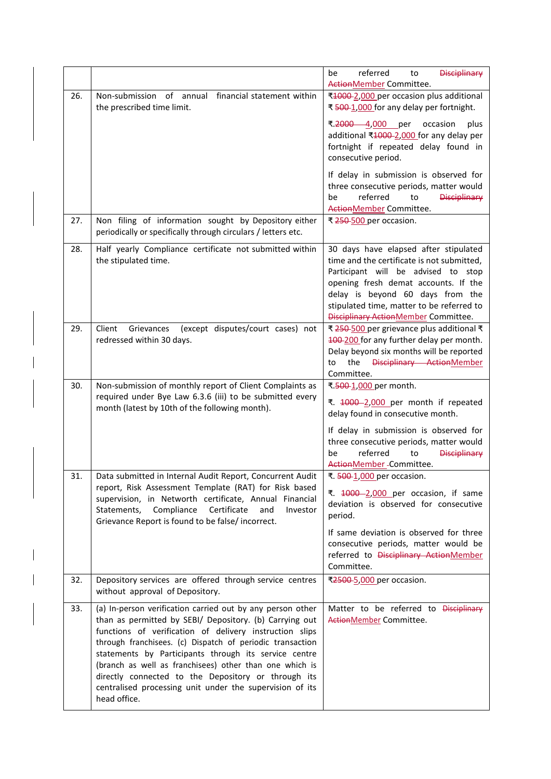|     |                                                                                                                                                                                                                                                                                                                                                                                                                                                                                                      | referred<br><b>Disciplinary</b><br>be<br>to<br>ActionMember Committee.                                                                                                                                                                                                                       |
|-----|------------------------------------------------------------------------------------------------------------------------------------------------------------------------------------------------------------------------------------------------------------------------------------------------------------------------------------------------------------------------------------------------------------------------------------------------------------------------------------------------------|----------------------------------------------------------------------------------------------------------------------------------------------------------------------------------------------------------------------------------------------------------------------------------------------|
| 26. | Non-submission of annual financial statement within<br>the prescribed time limit.                                                                                                                                                                                                                                                                                                                                                                                                                    | ₹1000-2,000 per occasion plus additional<br>₹ 500-1,000 for any delay per fortnight.<br>$7.2000 - 4,000$<br>per<br>occasion<br>plus<br>additional ₹1000-2,000 for any delay per<br>fortnight if repeated delay found in<br>consecutive period.                                               |
|     |                                                                                                                                                                                                                                                                                                                                                                                                                                                                                                      | If delay in submission is observed for<br>three consecutive periods, matter would<br>referred<br><b>Disciplinary</b><br>be<br>to<br>ActionMember Committee.                                                                                                                                  |
| 27. | Non filing of information sought by Depository either<br>periodically or specifically through circulars / letters etc.                                                                                                                                                                                                                                                                                                                                                                               | ₹ 250-500 per occasion.                                                                                                                                                                                                                                                                      |
| 28. | Half yearly Compliance certificate not submitted within<br>the stipulated time.                                                                                                                                                                                                                                                                                                                                                                                                                      | 30 days have elapsed after stipulated<br>time and the certificate is not submitted,<br>Participant will be advised to stop<br>opening fresh demat accounts. If the<br>delay is beyond 60 days from the<br>stipulated time, matter to be referred to<br>Disciplinary Action Member Committee. |
| 29. | Grievances<br>(except disputes/court cases) not<br>Client<br>redressed within 30 days.                                                                                                                                                                                                                                                                                                                                                                                                               | ₹ 250-500 per grievance plus additional ₹<br>100-200 for any further delay per month.<br>Delay beyond six months will be reported<br>Disciplinary ActionMember<br>the<br>to<br>Committee.                                                                                                    |
| 30. | Non-submission of monthly report of Client Complaints as<br>required under Bye Law 6.3.6 (iii) to be submitted every<br>month (latest by 10th of the following month).                                                                                                                                                                                                                                                                                                                               | ₹.500-1,000 per month.<br>₹. 1000-2,000 per month if repeated<br>delay found in consecutive month.<br>If delay in submission is observed for<br>three consecutive periods, matter would<br>referred<br><b>Disciplinary</b><br>be<br>to<br>ActionMember-Committee.                            |
| 31. | Data submitted in Internal Audit Report, Concurrent Audit<br>report, Risk Assessment Template (RAT) for Risk based<br>supervision, in Networth certificate, Annual Financial<br>Statements,<br>Compliance<br>Certificate<br>and<br>Investor<br>Grievance Report is found to be false/ incorrect.                                                                                                                                                                                                     | ₹. 500-1,000 per occasion.<br>₹. 4000-2,000 per occasion, if same<br>deviation is observed for consecutive<br>period.<br>If same deviation is observed for three<br>consecutive periods, matter would be<br>referred to Disciplinary ActionMember<br>Committee.                              |
| 32. | Depository services are offered through service centres<br>without approval of Depository.                                                                                                                                                                                                                                                                                                                                                                                                           | ₹2500-5,000 per occasion.                                                                                                                                                                                                                                                                    |
| 33. | (a) In-person verification carried out by any person other<br>than as permitted by SEBI/ Depository. (b) Carrying out<br>functions of verification of delivery instruction slips<br>through franchisees. (c) Dispatch of periodic transaction<br>statements by Participants through its service centre<br>(branch as well as franchisees) other than one which is<br>directly connected to the Depository or through its<br>centralised processing unit under the supervision of its<br>head office. | Matter to be referred to Disciplinary<br>ActionMember Committee.                                                                                                                                                                                                                             |